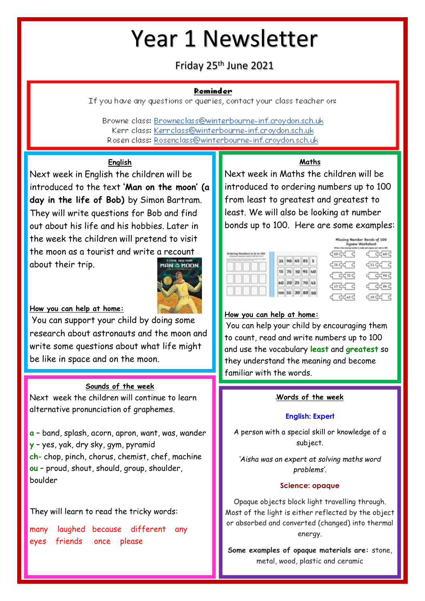# Year 1 Newsletter

## Friday 25th June 2021

#### Reminder

If you have any questions or queries, contact your class teacher on:

Browne class: Browneclass@winterbourne-inf.croydon.sch.uk Kerr class: Kerrclass@winterbourne-inf.crovdon.sch.uk Rosen class: Rosenclass@winterbourne-inf.croydon.sch.uk

## **English**

Next week in English the children will be introduced to the text **'Man on the moon' (a day in the life of Bob)** by Simon Bartram. They will write questions for Bob and find out about his life and his hobbies. Later in the week the children will pretend to visit the moon as a tourist and write a recount about their trip.



#### **How you can help at home:**

You can support your child by doing some research about astronauts and the moon and write some questions about what life might be like in space and on the moon.

#### **Sounds of the week**

Next week the children will continue to learn alternative pronunciation of graphemes.

**a** – band, splash, acorn, apron, want, was, wander **y** – yes, yak, dry sky, gym, pyramid **ch**- chop, pinch, chorus, chemist, chef, machine **ou** – proud, shout, should, group, shoulder, boulder

## They will learn to read the tricky words:

many laughed because different any eyes friends once please

## **Maths**

Next week in Maths the children will be introduced to ordering numbers up to 100 from least to greatest and greatest to least. We will also be looking at number bonds up to 100. Here are some examples:

Missing Number Bonds of 100

|  |               |             | Jugsow Worksheet       |                        |  |  |
|--|---------------|-------------|------------------------|------------------------|--|--|
|  | 35 90 45 85 5 |             | ਵਿਕਟਵ ਵ                | द्री दुर्दछन्द         |  |  |
|  | 10            |             | case c<br>$C_{\alpha}$ | ਵਸਟਵ ਵ<br>द् दिर्दछन्द |  |  |
|  | $20 \ 25$     |             | dngd d                 | ਟ੍ਰ ਟ੍ਰਿਕਟ             |  |  |
|  |               | 55 30 80 50 | दद्ध्व                 | G<br>र्दछ द            |  |  |

#### **How you can help at home:**

You can help your child by encouraging them to count, read and write numbers up to 100 and use the vocabulary **least** and **greatest** so they understand the meaning and become familiar with the words.

#### **Words of the week**

#### **English: Expert**

A person with a special skill or knowledge of a subject.

*'Aisha was an expert at solving maths word problems'.*

#### **Science: opaque**

Opaque objects block light travelling through. Most of the light is either reflected by the object or absorbed and converted (changed) into thermal energy.

**Some examples of opaque materials are:** stone, metal, wood, plastic and ceramic